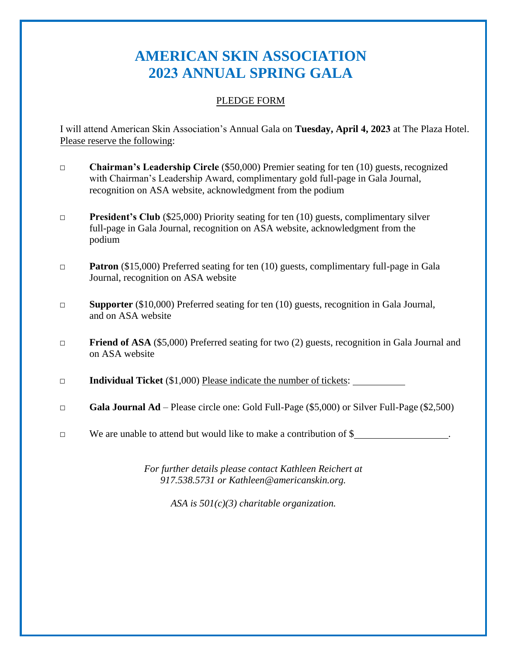## **AMERICAN SKIN ASSOCIATION 2023 ANNUAL SPRING GALA**

## PLEDGE FORM

I will attend American Skin Association's Annual Gala on **Tuesday, April 4, 2023** at The Plaza Hotel. Please reserve the following:

- **□ Chairman's Leadership Circle** (\$50,000) Premier seating for ten (10) guests, recognized with Chairman's Leadership Award, complimentary gold full-page in Gala Journal, recognition on ASA website, acknowledgment from the podium
- **□ President's Club** (\$25,000) Priority seating for ten (10) guests, complimentary silver full-page in Gala Journal, recognition on ASA website, acknowledgment from the podium
- **Patron** (\$15,000) Preferred seating for ten (10) guests, complimentary full-page in Gala Journal, recognition on ASA website
- **□ Supporter** (\$10,000) Preferred seating for ten (10) guests, recognition in Gala Journal, and on ASA website
- **□ Friend of ASA** (\$5,000) Preferred seating for two (2) guests, recognition in Gala Journal and on ASA website
- **□ Individual Ticket** (\$1,000) Please indicate the number of tickets:
- □ **Gala Journal Ad**  Please circle one: Gold Full-Page (\$5,000) or Silver Full-Page (\$2,500)
- **□** We are unable to attend but would like to make a contribution of \$ .

*For further details please contact Kathleen Reichert at 917.538.5731 or [Kathleen@americanskin.org.](mailto:Kathleen@americanskin.org)*

*ASA is 501(c)(3) charitable organization.*